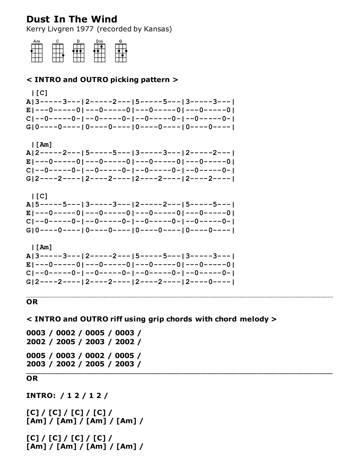# **Dust In The Wind**

Kerry Livgren 1977 (recorded by Kansas)



## < INTRO and OUTRO picking pattern >

 $| [C]$ A|3-----3---|2-----2---|5-----5---|3-----3---| E|---0-----0|---0-----0|---0-----0|---0-----0|  $G[0---0---10---0---0---10---0---10---10---0---0---1$ 

 $| \mathsf{[Am]}$ A|2-----2---|5-----5---|3-----3---|2-----2---|  $E$ |---0-----0|---0-----0|---0-----0|---0-----0|  $G[2---2---12---2---12---12---2---12---12---2---1$ 



```
\lfloor Am \rfloorA|3-----3---|2-----2---|5-----5---|3-----3---|
E|---0-----0|---0-----0|---0-----0|---0-----0|
G[2---2---12---2---12---12---2---12---12---0---1
```
### **OR**

 $\leq$  INTRO and OUTRO riff using grip chords with chord melody  $>$ 

0003 / 0002 / 0005 / 0003 / 2002 / 2005 / 2003 / 2002 / 0005 / 0003 / 0002 / 0005 / 2003 / 2002 / 2005 / 2003 /

#### **OR**

```
INTRO: / 1 2 / 1 2 /
```

```
[C] / [C] / [C] / [C] /[Am] / [Am] / [Am] / [Am] /
```

```
[C] / [C] / [C] / [C] /[Am] / [Am] / [Am] / [Am] /
```